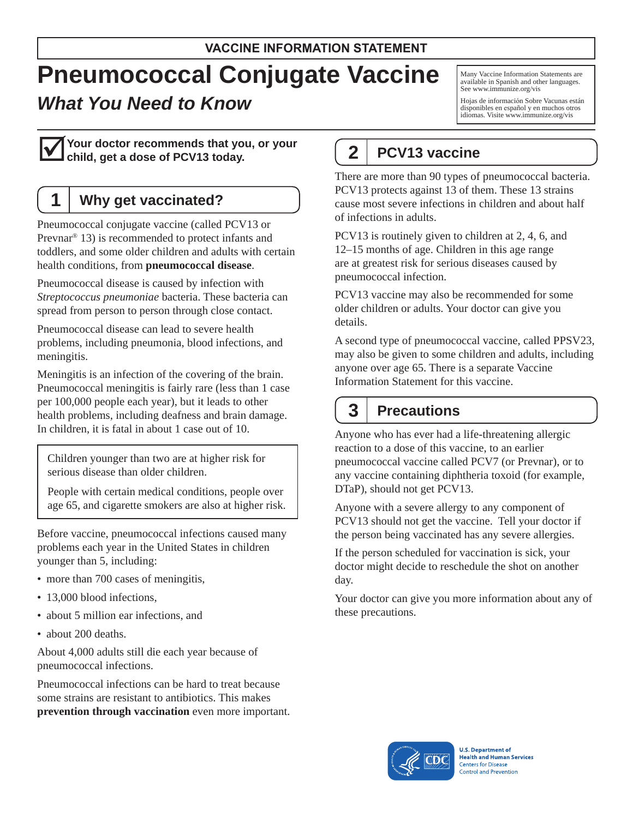#### **VACCINE INFORMATION STATEMENT**

# **Pneumococcal Conjugate Vaccine**

# *What You Need to Know*



**Your doctor recommends that you, or your child, get a dose of PCV13 today.**

# **1 Why get vaccinated?**

Pneumococcal conjugate vaccine (called PCV13 or Prevnar® 13) is recommended to protect infants and toddlers, and some older children and adults with certain health conditions, from **pneumococcal disease**.

Pneumococcal disease is caused by infection with *Streptococcus pneumoniae* bacteria. These bacteria can spread from person to person through close contact.

Pneumococcal disease can lead to severe health problems, including pneumonia, blood infections, and meningitis.

Meningitis is an infection of the covering of the brain. Pneumococcal meningitis is fairly rare (less than 1 case per 100,000 people each year), but it leads to other health problems, including deafness and brain damage. In children, it is fatal in about 1 case out of 10.

Children younger than two are at higher risk for serious disease than older children.

People with certain medical conditions, people over age 65, and cigarette smokers are also at higher risk.

Before vaccine, pneumococcal infections caused many problems each year in the United States in children younger than 5, including:

- more than 700 cases of meningitis,
- 13,000 blood infections,
- about 5 million ear infections, and
- about 200 deaths.

About 4,000 adults still die each year because of pneumococcal infections.

Pneumococcal infections can be hard to treat because some strains are resistant to antibiotics. This makes **prevention through vaccination** even more important. Many Vaccine Information Statements are available in Spanish and other languages. See [www.immunize.org/vis](http://www.immunize.org/vis)

Hojas de información Sobre Vacunas están disponibles en español y en muchos otros idiomas. Visite [www.immunize.org/vis](http://www.immunize.org/vis)

# **2 PCV13 vaccine**

There are more than 90 types of pneumococcal bacteria. PCV13 protects against 13 of them. These 13 strains cause most severe infections in children and about half of infections in adults.

PCV13 is routinely given to children at 2, 4, 6, and 12–15 months of age. Children in this age range are at greatest risk for serious diseases caused by pneumococcal infection.

PCV13 vaccine may also be recommended for some older children or adults. Your doctor can give you details.

A second type of pneumococcal vaccine, called PPSV23, may also be given to some children and adults, including anyone over age 65. There is a separate Vaccine Information Statement for this vaccine.

# **3 Precautions**

Anyone who has ever had a life-threatening allergic reaction to a dose of this vaccine, to an earlier pneumococcal vaccine called PCV7 (or Prevnar), or to any vaccine containing diphtheria toxoid (for example, DTaP), should not get PCV13.

Anyone with a severe allergy to any component of PCV13 should not get the vaccine. Tell your doctor if the person being vaccinated has any severe allergies.

If the person scheduled for vaccination is sick, your doctor might decide to reschedule the shot on another day.

Your doctor can give you more information about any of these precautions.



**U.S. Department of Health and Human Services Centers for Disease Control and Prevention**